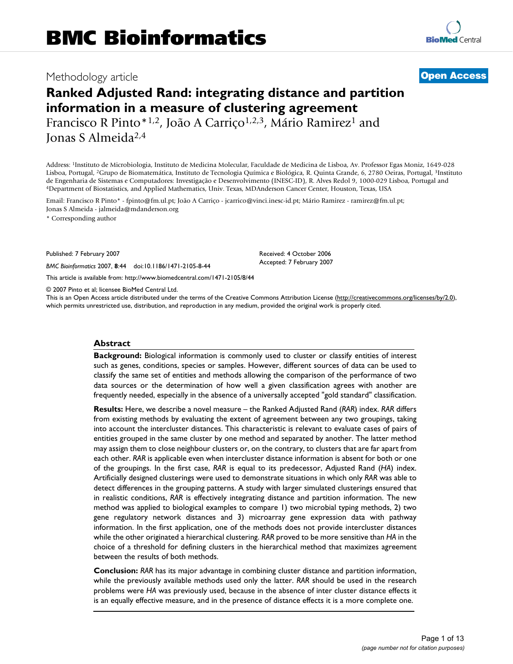# Methodology article **[Open Access](http://www.biomedcentral.com/info/about/charter/)**

# **Ranked Adjusted Rand: integrating distance and partition information in a measure of clustering agreement**

Francisco R Pinto\*<sup>1,2</sup>, João A Carriço<sup>1,2,3</sup>, Mário Ramirez<sup>1</sup> and Jonas S Almeida2,4

Address: 1Instituto de Microbiologia, Instituto de Medicina Molecular, Faculdade de Medicina de Lisboa, Av. Professor Egas Moniz, 1649-028 Lisboa, Portugal, 2Grupo de Biomatemática, Instituto de Tecnologia Química e Biológica, R. Quinta Grande, 6, 2780 Oeiras, Portugal, 3Instituto de Engenharia de Sistemas e Computadores: Investigação e Desenvolvimento (INESC-ID), R. Alves Redol 9, 1000-029 Lisboa, Portugal and 4Department of Biostatistics, and Applied Mathematics, Univ. Texas, MDAnderson Cancer Cen

Email: Francisco R Pinto\* - fpinto@fm.ul.pt; João A Carriço - jcarrico@vinci.inesc-id.pt; Mário Ramirez - ramirez@fm.ul.pt; Jonas S Almeida - jalmeida@mdanderson.org

\* Corresponding author

Published: 7 February 2007

*BMC Bioinformatics* 2007, **8**:44 doi:10.1186/1471-2105-8-44

[This article is available from: http://www.biomedcentral.com/1471-2105/8/44](http://www.biomedcentral.com/1471-2105/8/44)

© 2007 Pinto et al; licensee BioMed Central Ltd.

This is an Open Access article distributed under the terms of the Creative Commons Attribution License [\(http://creativecommons.org/licenses/by/2.0\)](http://creativecommons.org/licenses/by/2.0), which permits unrestricted use, distribution, and reproduction in any medium, provided the original work is properly cited.

Received: 4 October 2006 Accepted: 7 February 2007

#### **Abstract**

**Background:** Biological information is commonly used to cluster or classify entities of interest such as genes, conditions, species or samples. However, different sources of data can be used to classify the same set of entities and methods allowing the comparison of the performance of two data sources or the determination of how well a given classification agrees with another are frequently needed, especially in the absence of a universally accepted "gold standard" classification.

**Results:** Here, we describe a novel measure – the Ranked Adjusted Rand (*RAR*) index. *RAR* differs from existing methods by evaluating the extent of agreement between any two groupings, taking into account the intercluster distances. This characteristic is relevant to evaluate cases of pairs of entities grouped in the same cluster by one method and separated by another. The latter method may assign them to close neighbour clusters or, on the contrary, to clusters that are far apart from each other. *RAR* is applicable even when intercluster distance information is absent for both or one of the groupings. In the first case, *RAR* is equal to its predecessor, Adjusted Rand (*HA*) index. Artificially designed clusterings were used to demonstrate situations in which only *RAR* was able to detect differences in the grouping patterns. A study with larger simulated clusterings ensured that in realistic conditions, *RAR* is effectively integrating distance and partition information. The new method was applied to biological examples to compare 1) two microbial typing methods, 2) two gene regulatory network distances and 3) microarray gene expression data with pathway information. In the first application, one of the methods does not provide intercluster distances while the other originated a hierarchical clustering. *RAR* proved to be more sensitive than *HA* in the choice of a threshold for defining clusters in the hierarchical method that maximizes agreement between the results of both methods.

**Conclusion:** *RAR* has its major advantage in combining cluster distance and partition information, while the previously available methods used only the latter. *RAR* should be used in the research problems were *HA* was previously used, because in the absence of inter cluster distance effects it is an equally effective measure, and in the presence of distance effects it is a more complete one.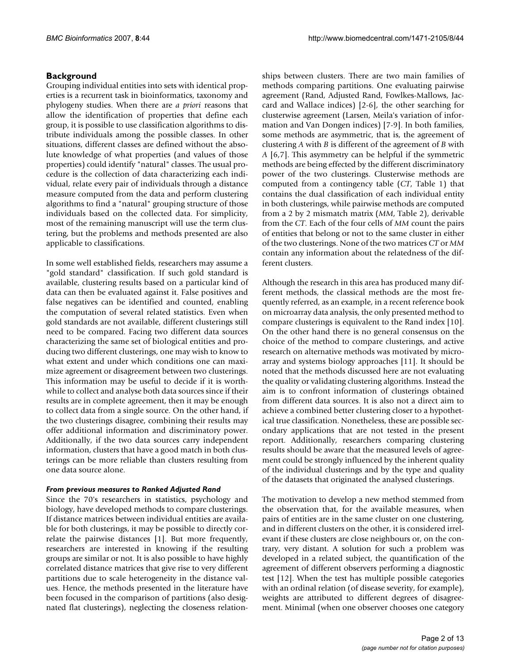# **Background**

Grouping individual entities into sets with identical properties is a recurrent task in bioinformatics, taxonomy and phylogeny studies. When there are *a priori* reasons that allow the identification of properties that define each group, it is possible to use classification algorithms to distribute individuals among the possible classes. In other situations, different classes are defined without the absolute knowledge of what properties (and values of those properties) could identify "natural" classes. The usual procedure is the collection of data characterizing each individual, relate every pair of individuals through a distance measure computed from the data and perform clustering algorithms to find a "natural" grouping structure of those individuals based on the collected data. For simplicity, most of the remaining manuscript will use the term clustering, but the problems and methods presented are also applicable to classifications.

In some well established fields, researchers may assume a "gold standard" classification. If such gold standard is available, clustering results based on a particular kind of data can then be evaluated against it. False positives and false negatives can be identified and counted, enabling the computation of several related statistics. Even when gold standards are not available, different clusterings still need to be compared. Facing two different data sources characterizing the same set of biological entities and producing two different clusterings, one may wish to know to what extent and under which conditions one can maximize agreement or disagreement between two clusterings. This information may be useful to decide if it is worthwhile to collect and analyse both data sources since if their results are in complete agreement, then it may be enough to collect data from a single source. On the other hand, if the two clusterings disagree, combining their results may offer additional information and discriminatory power. Additionally, if the two data sources carry independent information, clusters that have a good match in both clusterings can be more reliable than clusters resulting from one data source alone.

# *From previous measures to Ranked Adjusted Rand*

Since the 70's researchers in statistics, psychology and biology, have developed methods to compare clusterings. If distance matrices between individual entities are available for both clusterings, it may be possible to directly correlate the pairwise distances [1]. But more frequently, researchers are interested in knowing if the resulting groups are similar or not. It is also possible to have highly correlated distance matrices that give rise to very different partitions due to scale heterogeneity in the distance values. Hence, the methods presented in the literature have been focused in the comparison of partitions (also designated flat clusterings), neglecting the closeness relationships between clusters. There are two main families of methods comparing partitions. One evaluating pairwise agreement (Rand, Adjusted Rand, Fowlkes-Mallows, Jaccard and Wallace indices) [2-6], the other searching for clusterwise agreement (Larsen, Meila's variation of information and Van Dongen indices) [7-9]. In both families, some methods are asymmetric, that is, the agreement of clustering *A* with *B* is different of the agreement of *B* with *A* [6,7]. This asymmetry can be helpful if the symmetric methods are being effected by the different discriminatory power of the two clusterings. Clusterwise methods are computed from a contingency table (*CT*, Table 1) that contains the dual classification of each individual entity in both clusterings, while pairwise methods are computed from a 2 by 2 mismatch matrix (*MM*, Table 2), derivable from the *CT*. Each of the four cells of *MM* count the pairs of entities that belong or not to the same cluster in either of the two clusterings. None of the two matrices *CT* or *MM* contain any information about the relatedness of the different clusters.

Although the research in this area has produced many different methods, the classical methods are the most frequently referred, as an example, in a recent reference book on microarray data analysis, the only presented method to compare clusterings is equivalent to the Rand index [10]. On the other hand there is no general consensus on the choice of the method to compare clusterings, and active research on alternative methods was motivated by microarray and systems biology approaches [11]. It should be noted that the methods discussed here are not evaluating the quality or validating clustering algorithms. Instead the aim is to confront information of clusterings obtained from different data sources. It is also not a direct aim to achieve a combined better clustering closer to a hypothetical true classification. Nonetheless, these are possible secondary applications that are not tested in the present report. Additionally, researchers comparing clustering results should be aware that the measured levels of agreement could be strongly influenced by the inherent quality of the individual clusterings and by the type and quality of the datasets that originated the analysed clusterings.

The motivation to develop a new method stemmed from the observation that, for the available measures, when pairs of entities are in the same cluster on one clustering, and in different clusters on the other, it is considered irrelevant if these clusters are close neighbours or, on the contrary, very distant. A solution for such a problem was developed in a related subject, the quantification of the agreement of different observers performing a diagnostic test [12]. When the test has multiple possible categories with an ordinal relation (of disease severity, for example), weights are attributed to different degrees of disagreement. Minimal (when one observer chooses one category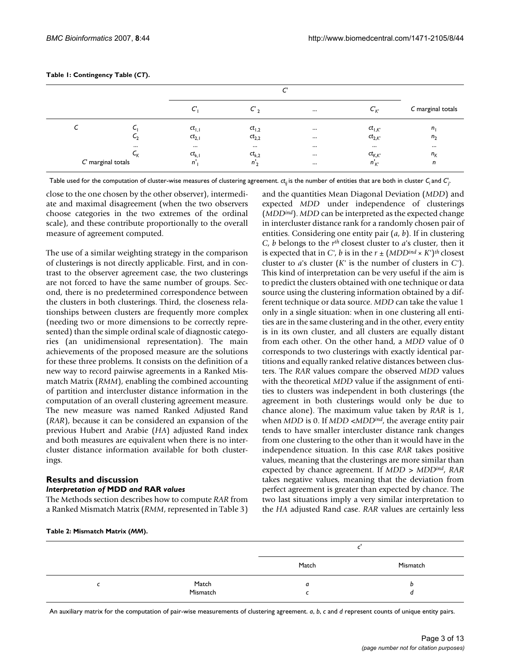|                    |             | ╭<br>ັ         |            |          |             |                   |
|--------------------|-------------|----------------|------------|----------|-------------|-------------------|
|                    |             | C              | $C_{2}$    | $\cdots$ | $C_{K}$     | C marginal totals |
|                    |             | $ct_{1,1}$     | $ct_{1,2}$ |          | $ct_{1,K}$  | $n_{1}$           |
|                    | $-2$        | $ct_{2,1}$     | $ct_{2,2}$ | $\cdots$ | $ct_{2,K'}$ | n <sub>2</sub>    |
|                    | $\cdots$    |                | $\cdots$   |          |             |                   |
|                    | $L_{\rm K}$ | $ct_{k,1}$     | $ct_{k,2}$ |          | $ct_{K,K'}$ | $n_{K}$           |
| C' marginal totals |             | n <sub>1</sub> | $n_2$      | $\cdots$ | $n_K$       | n                 |

#### **Table 1: Contingency Table (***CT***).**

Table used for the computation of cluster-wise measures of clustering agreement.  $c_{ij}$  is the number of entities that are both in cluster  $\mathcal{C}_i$  and  $\mathcal{C}'_j$ 

close to the one chosen by the other observer), intermediate and maximal disagreement (when the two observers choose categories in the two extremes of the ordinal scale), and these contribute proportionally to the overall measure of agreement computed.

The use of a similar weighting strategy in the comparison of clusterings is not directly applicable. First, and in contrast to the observer agreement case, the two clusterings are not forced to have the same number of groups. Second, there is no predetermined correspondence between the clusters in both clusterings. Third, the closeness relationships between clusters are frequently more complex (needing two or more dimensions to be correctly represented) than the simple ordinal scale of diagnostic categories (an unidimensional representation). The main achievements of the proposed measure are the solutions for these three problems. It consists on the definition of a new way to record pairwise agreements in a Ranked Mismatch Matrix (*RMM*), enabling the combined accounting of partition and intercluster distance information in the computation of an overall clustering agreement measure. The new measure was named Ranked Adjusted Rand (*RAR*), because it can be considered an expansion of the previous Hubert and Arabie (*HA*) adjusted Rand index and both measures are equivalent when there is no intercluster distance information available for both clusterings.

#### **Results and discussion** *Interpretation of* **MDD** *and* **RAR** *values*

The Methods section describes how to compute *RAR* from a Ranked Mismatch Matrix (*RMM*, represented in Table 3) and the quantities Mean Diagonal Deviation (*MDD*) and expected *MDD* under independence of clusterings (*MDDind*). *MDD* can be interpreted as the expected change in intercluster distance rank for a randomly chosen pair of entities. Considering one entity pair (*a*, *b*). If in clustering *C*, *b* belongs to the *rth* closest cluster to *a*'s cluster, then it is expected that in *C'*, *b* is in the  $r \pm (MDD^{ind} \times K')^{th}$  closest cluster to *a*'s cluster (*K'* is the number of clusters in *C'*). This kind of interpretation can be very useful if the aim is to predict the clusters obtained with one technique or data source using the clustering information obtained by a different technique or data source. *MDD* can take the value 1 only in a single situation: when in one clustering all entities are in the same clustering and in the other, every entity is in its own cluster, and all clusters are equally distant from each other. On the other hand, a *MDD* value of 0 corresponds to two clusterings with exactly identical partitions and equally ranked relative distances between clusters. The *RAR* values compare the observed *MDD* values with the theoretical *MDD* value if the assignment of entities to clusters was independent in both clusterings (the agreement in both clusterings would only be due to chance alone). The maximum value taken by *RAR* is 1, when *MDD* is 0. If *MDD* <*MDDind*, the average entity pair tends to have smaller intercluster distance rank changes from one clustering to the other than it would have in the independence situation. In this case *RAR* takes positive values, meaning that the clusterings are more similar than expected by chance agreement. If *MDD* > *MDDind*, *RAR* takes negative values, meaning that the deviation from perfect agreement is greater than expected by chance. The two last situations imply a very similar interpretation to the *HA* adjusted Rand case. *RAR* values are certainly less

#### **Table 2: Mismatch Matrix (***MM***).**

|                   | Match | Mismatch |
|-------------------|-------|----------|
| Match<br>Mismatch | a     |          |

An auxiliary matrix for the computation of pair-wise measurements of clustering agreement. *a*, *b*, *c* and *d* represent counts of unique entity pairs.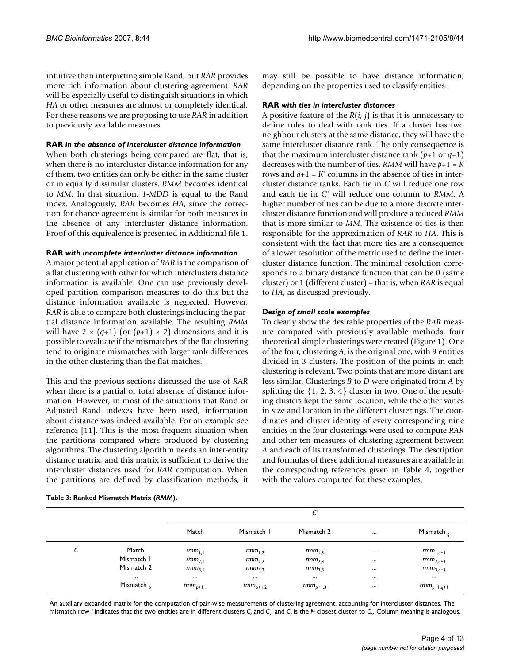intuitive than interpreting simple Rand, but *RAR* provides more rich information about clustering agreement. *RAR* will be especially useful to distinguish situations in which *HA* or other measures are almost or completely identical. For these reasons we are proposing to use *RAR* in addition to previously available measures.

#### **RAR** *in the absence of intercluster distance information*

When both clusterings being compared are flat, that is, when there is no intercluster distance information for any of them, two entities can only be either in the same cluster or in equally dissimilar clusters. *RMM* becomes identical to *MM*. In that situation, *1-MDD* is equal to the Rand index. Analogously, *RAR* becomes *HA*, since the correction for chance agreement is similar for both measures in the absence of any intercluster distance information. Proof of this equivalence is presented in Additional file 1.

# **RAR** *with incomplete intercluster distance information*

A major potential application of *RAR* is the comparison of a flat clustering with other for which interclusters distance information is available. One can use previously developed partition comparison measures to do this but the distance information available is neglected. However, *RAR* is able to compare both clusterings including the partial distance information available. The resulting *RMM* will have  $2 \times (q+1)$  (or  $(p+1) \times 2$ ) dimensions and it is possible to evaluate if the mismatches of the flat clustering tend to originate mismatches with larger rank differences in the other clustering than the flat matches.

This and the previous sections discussed the use of *RAR* when there is a partial or total absence of distance information. However, in most of the situations that Rand or Adjusted Rand indexes have been used, information about distance was indeed available. For an example see reference [11]. This is the most frequent situation when the partitions compared where produced by clustering algorithms. The clustering algorithm needs an inter-entity distance matrix, and this matrix is sufficient to derive the intercluster distances used for *RAR* computation. When the partitions are defined by classification methods, it

**Table 3: Ranked Mismatch Matrix (***RMM***).**

may still be possible to have distance information, depending on the properties used to classify entities.

# **RAR** *with ties in intercluster distances*

A positive feature of the *R*(*i*, *j*) is that it is unnecessary to define rules to deal with rank ties. If a cluster has two neighbour clusters at the same distance, they will have the same intercluster distance rank. The only consequence is that the maximum intercluster distance rank  $(p+1 \text{ or } q+1)$ decreases with the number of ties. *RMM* will have *p*+1 = *K* rows and  $q+1 = K'$  columns in the absence of ties in intercluster distance ranks. Each tie in *C* will reduce one row and each tie in *C'* will reduce one column to *RMM*. A higher number of ties can be due to a more discrete intercluster distance function and will produce a reduced *RMM* that is more similar to *MM*. The existence of ties is then responsible for the approximation of *RAR* to *HA*. This is consistent with the fact that more ties are a consequence of a lower resolution of the metric used to define the intercluster distance function. The minimal resolution corresponds to a binary distance function that can be 0 (same cluster) or 1 (different cluster) – that is, when *RAR* is equal to *HA*, as discussed previously.

# *Design of small scale examples*

To clearly show the desirable properties of the *RAR* measure compared with previously available methods, four theoretical simple clusterings were created (Figure 1). One of the four, clustering *A*, is the original one, with 9 entities divided in 3 clusters. The position of the points in each clustering is relevant. Two points that are more distant are less similar. Clusterings *B* to *D* were originated from *A* by splitting the  $\{1, 2, 3, 4\}$  cluster in two. One of the resulting clusters kept the same location, while the other varies in size and location in the different clusterings. The coordinates and cluster identity of every corresponding nine entities in the four clusterings were used to compute *RAR* and other ten measures of clustering agreement between *A* and each of its transformed clusterings. The description and formulas of these additional measures are available in the corresponding references given in Table 4, together with the values computed for these examples.

|   |                 | اسم<br>J             |                   |                    |          |                 |
|---|-----------------|----------------------|-------------------|--------------------|----------|-----------------|
|   |                 | Match                | Mismatch I        | Mismatch 2         | $\cdots$ | Mismatch $_q$   |
| с | Match           | $rmm$ <sub>1.1</sub> | $rmm_{1.2}$       | $rmm_{1,3}$        |          | $rmm_{ ,q+1}$   |
|   | Mismatch I      | $rmm_{2,1}$          | $\text{mm}_{2,2}$ | rmm <sub>2.3</sub> |          | $rmm_{2,q+1}$   |
|   | Mismatch 2      | rmm <sub>3.1</sub>   | $\text{mm}_{3,2}$ | rmm <sub>3.3</sub> | $\cdots$ | $rmm_{3,q+1}$   |
|   | $\cdots$        | $\cdots$             | $\cdots$          | $\cdots$           | $\cdots$ | $\cdots$        |
|   | Mismatch $_{b}$ | $rmm_{p+1,1}$        | $rmm_{p+1,2}$     | $rmm_{b+1,3}$      | $\cdots$ | $rmm_{p+1,q+1}$ |

An auxiliary expanded matrix for the computation of pair-wise measurements of clustering agreement, accounting for intercluster distances. The mismatch row *i* indicates that the two entities are in different clusters *Cx* and *Cy*, and *Cy* is the *i th* closest cluster to *Cx*. Column meaning is analogous.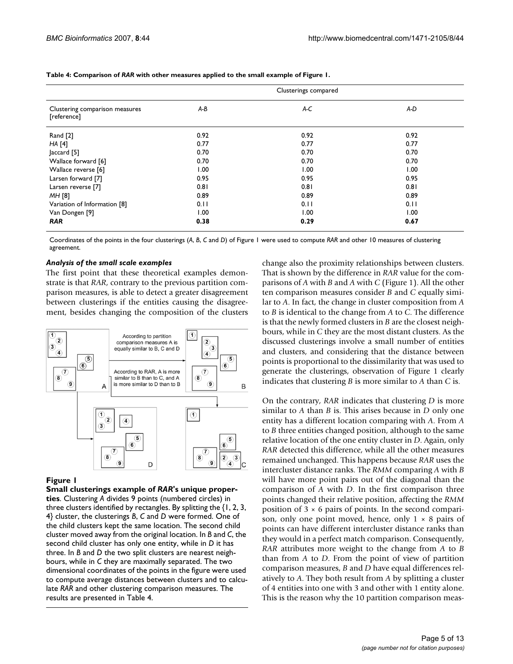|                                               | Clusterings compared |       |      |  |  |
|-----------------------------------------------|----------------------|-------|------|--|--|
| Clustering comparison measures<br>[reference] | A-B                  | $A-C$ | A-D  |  |  |
| Rand [2]                                      | 0.92                 | 0.92  | 0.92 |  |  |
| HA [4]                                        | 0.77                 | 0.77  | 0.77 |  |  |
| Jaccard [5]                                   | 0.70                 | 0.70  | 0.70 |  |  |
| Wallace forward [6]                           | 0.70                 | 0.70  | 0.70 |  |  |
| Wallace reverse [6]                           | 1.00                 | 1.00  | 1.00 |  |  |
| Larsen forward [7]                            | 0.95                 | 0.95  | 0.95 |  |  |
| Larsen reverse [7]                            | 0.81                 | 0.81  | 0.81 |  |  |
| $MH$ [8]                                      | 0.89                 | 0.89  | 0.89 |  |  |
| Variation of Information [8]                  | 0.11                 | 0.11  | 0.11 |  |  |
| Van Dongen [9]                                | 1.00                 | 1.00  | 1.00 |  |  |
| <b>RAR</b>                                    | 0.38                 | 0.29  | 0.67 |  |  |

| Table 4: Comparison of RAR with other measures applied to the small example of Figure 1. |  |  |
|------------------------------------------------------------------------------------------|--|--|
|------------------------------------------------------------------------------------------|--|--|

Coordinates of the points in the four clusterings (*A*, *B*, *C* and *D*) of Figure 1 were used to compute *RAR* and other 10 measures of clustering agreement.

# *Analysis of the small scale examples*

The first point that these theoretical examples demonstrate is that *RAR*, contrary to the previous partition comparison measures, is able to detect a greater disagreement between clusterings if the entities causing the disagreement, besides changing the composition of the clusters



#### **Figure 1**

**Small clusterings example of** *RAR***'s unique properties**. Clustering *A* divides 9 points (numbered circles) in three clusters identified by rectangles. By splitting the {1, 2, 3, 4} cluster, the clusterings *B*, *C* and *D* were formed. One of the child clusters kept the same location. The second child cluster moved away from the original location. In *B* and *C*, the second child cluster has only one entity, while in *D* it has three. In *B* and *D* the two split clusters are nearest neighbours, while in *C* they are maximally separated. The two dimensional coordinates of the points in the figure were used to compute average distances between clusters and to calculate *RAR* and other clustering comparison measures. The results are presented in Table 4.

change also the proximity relationships between clusters. That is shown by the difference in *RAR* value for the comparisons of *A* with *B* and *A* with *C* (Figure 1). All the other ten comparison measures consider *B* and *C* equally similar to *A*. In fact, the change in cluster composition from *A* to *B* is identical to the change from *A* to *C*. The difference is that the newly formed clusters in *B* are the closest neighbours, while in *C* they are the most distant clusters. As the discussed clusterings involve a small number of entities and clusters, and considering that the distance between points is proportional to the dissimilarity that was used to generate the clusterings, observation of Figure 1 clearly indicates that clustering *B* is more similar to *A* than *C* is.

On the contrary, *RAR* indicates that clustering *D* is more similar to *A* than *B* is. This arises because in *D* only one entity has a different location comparing with *A*. From *A* to *B* three entities changed position, although to the same relative location of the one entity cluster in *D*. Again, only *RAR* detected this difference, while all the other measures remained unchanged. This happens because *RAR* uses the intercluster distance ranks. The *RMM* comparing *A* with *B* will have more point pairs out of the diagonal than the comparison of *A* with *D*. In the first comparison three points changed their relative position, affecting the *RMM* position of  $3 \times 6$  pairs of points. In the second comparison, only one point moved, hence, only  $1 \times 8$  pairs of points can have different intercluster distance ranks than they would in a perfect match comparison. Consequently, *RAR* attributes more weight to the change from *A* to *B* than from *A* to *D*. From the point of view of partition comparison measures, *B* and *D* have equal differences relatively to *A*. They both result from *A* by splitting a cluster of 4 entities into one with 3 and other with 1 entity alone. This is the reason why the 10 partition comparison meas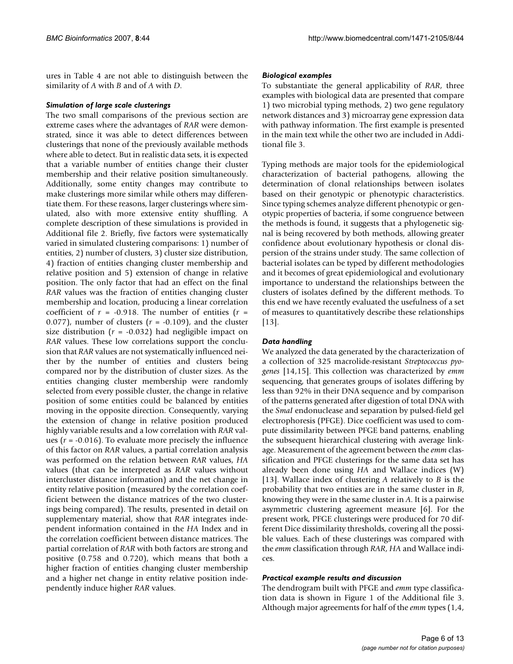ures in Table 4 are not able to distinguish between the similarity of *A* with *B* and of *A* with *D*.

# *Simulation of large scale clusterings*

The two small comparisons of the previous section are extreme cases where the advantages of *RAR* were demonstrated, since it was able to detect differences between clusterings that none of the previously available methods where able to detect. But in realistic data sets, it is expected that a variable number of entities change their cluster membership and their relative position simultaneously. Additionally, some entity changes may contribute to make clusterings more similar while others may differentiate them. For these reasons, larger clusterings where simulated, also with more extensive entity shuffling. A complete description of these simulations is provided in Additional file 2. Briefly, five factors were systematically varied in simulated clustering comparisons: 1) number of entities, 2) number of clusters, 3) cluster size distribution, 4) fraction of entities changing cluster membership and relative position and 5) extension of change in relative position. The only factor that had an effect on the final *RAR* values was the fraction of entities changing cluster membership and location, producing a linear correlation coefficient of  $r = -0.918$ . The number of entities ( $r =$ 0.077), number of clusters  $(r = -0.109)$ , and the cluster size distribution  $(r = -0.032)$  had negligible impact on *RAR* values. These low correlations support the conclusion that *RAR* values are not systematically influenced neither by the number of entities and clusters being compared nor by the distribution of cluster sizes. As the entities changing cluster membership were randomly selected from every possible cluster, the change in relative position of some entities could be balanced by entities moving in the opposite direction. Consequently, varying the extension of change in relative position produced highly variable results and a low correlation with *RAR* values  $(r = -0.016)$ . To evaluate more precisely the influence of this factor on *RAR* values, a partial correlation analysis was performed on the relation between *RAR* values, *HA* values (that can be interpreted as *RAR* values without intercluster distance information) and the net change in entity relative position (measured by the correlation coefficient between the distance matrices of the two clusterings being compared). The results, presented in detail on supplementary material, show that *RAR* integrates independent information contained in the *HA* Index and in the correlation coefficient between distance matrices. The partial correlation of *RAR* with both factors are strong and positive (0.758 and 0.720), which means that both a higher fraction of entities changing cluster membership and a higher net change in entity relative position independently induce higher *RAR* values.

# *Biological examples*

To substantiate the general applicability of *RAR*, three examples with biological data are presented that compare 1) two microbial typing methods, 2) two gene regulatory network distances and 3) microarray gene expression data with pathway information. The first example is presented in the main text while the other two are included in Additional file 3.

Typing methods are major tools for the epidemiological characterization of bacterial pathogens, allowing the determination of clonal relationships between isolates based on their genotypic or phenotypic characteristics. Since typing schemes analyze different phenotypic or genotypic properties of bacteria, if some congruence between the methods is found, it suggests that a phylogenetic signal is being recovered by both methods, allowing greater confidence about evolutionary hypothesis or clonal dispersion of the strains under study. The same collection of bacterial isolates can be typed by different methodologies and it becomes of great epidemiological and evolutionary importance to understand the relationships between the clusters of isolates defined by the different methods. To this end we have recently evaluated the usefulness of a set of measures to quantitatively describe these relationships [13].

# *Data handling*

We analyzed the data generated by the characterization of a collection of 325 macrolide-resistant *Streptococcus pyogenes* [14,15]. This collection was characterized by *emm* sequencing, that generates groups of isolates differing by less than 92% in their DNA sequence and by comparison of the patterns generated after digestion of total DNA with the *SmaI* endonuclease and separation by pulsed-field gel electrophoresis (PFGE). Dice coefficient was used to compute dissimilarity between PFGE band patterns, enabling the subsequent hierarchical clustering with average linkage. Measurement of the agreement between the *emm* classification and PFGE clusterings for the same data set has already been done using *HA* and Wallace indices (W) [13]. Wallace index of clustering *A* relatively to *B* is the probability that two entities are in the same cluster in *B*, knowing they were in the same cluster in *A*. It is a pairwise asymmetric clustering agreement measure [6]. For the present work, PFGE clusterings were produced for 70 different Dice dissimilarity thresholds, covering all the possible values. Each of these clusterings was compared with the *emm* classification through *RAR*, *HA* and Wallace indices.

# *Practical example results and discussion*

The dendrogram built with PFGE and *emm* type classification data is shown in Figure 1 of the Additional file 3. Although major agreements for half of the *emm* types (1,4,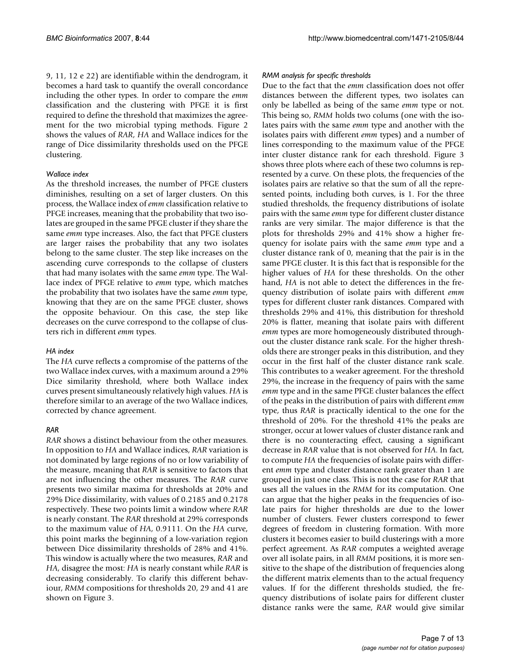9, 11, 12 e 22) are identifiable within the dendrogram, it becomes a hard task to quantify the overall concordance including the other types. In order to compare the *emm* classification and the clustering with PFGE it is first required to define the threshold that maximizes the agreement for the two microbial typing methods. Figure 2 shows the values of *RAR*, *HA* and Wallace indices for the range of Dice dissimilarity thresholds used on the PFGE clustering.

# *Wallace index*

As the threshold increases, the number of PFGE clusters diminishes, resulting on a set of larger clusters. On this process, the Wallace index of *emm* classification relative to PFGE increases, meaning that the probability that two isolates are grouped in the same PFGE cluster if they share the same *emm* type increases. Also, the fact that PFGE clusters are larger raises the probability that any two isolates belong to the same cluster. The step like increases on the ascending curve corresponds to the collapse of clusters that had many isolates with the same *emm* type. The Wallace index of PFGE relative to *emm* type, which matches the probability that two isolates have the same *emm* type, knowing that they are on the same PFGE cluster, shows the opposite behaviour. On this case, the step like decreases on the curve correspond to the collapse of clusters rich in different *emm* types.

# *HA index*

The *HA* curve reflects a compromise of the patterns of the two Wallace index curves, with a maximum around a 29% Dice similarity threshold, where both Wallace index curves present simultaneously relatively high values. *HA* is therefore similar to an average of the two Wallace indices, corrected by chance agreement.

# *RAR*

*RAR* shows a distinct behaviour from the other measures. In opposition to *HA* and Wallace indices, *RAR* variation is not dominated by large regions of no or low variability of the measure, meaning that *RAR* is sensitive to factors that are not influencing the other measures. The *RAR* curve presents two similar maxima for thresholds at 20% and 29% Dice dissimilarity, with values of 0.2185 and 0.2178 respectively. These two points limit a window where *RAR* is nearly constant. The *RAR* threshold at 29% corresponds to the maximum value of *HA*, 0.9111. On the *HA* curve, this point marks the beginning of a low-variation region between Dice dissimilarity thresholds of 28% and 41%. This window is actually where the two measures, *RAR* and *HA*, disagree the most: *HA* is nearly constant while *RAR* is decreasing considerably. To clarify this different behaviour, *RMM* compositions for thresholds 20, 29 and 41 are shown on Figure 3.

# *RMM analysis for specific thresholds*

Due to the fact that the *emm* classification does not offer distances between the different types, two isolates can only be labelled as being of the same *emm* type or not. This being so, *RMM* holds two colums (one with the isolates pairs with the same *emm* type and another with the isolates pairs with different *emm* types) and a number of lines corresponding to the maximum value of the PFGE inter cluster distance rank for each threshold. Figure 3 shows three plots where each of these two columns is represented by a curve. On these plots, the frequencies of the isolates pairs are relative so that the sum of all the represented points, including both curves, is 1. For the three studied thresholds, the frequency distributions of isolate pairs with the same *emm* type for different cluster distance ranks are very similar. The major difference is that the plots for thresholds 29% and 41% show a higher frequency for isolate pairs with the same *emm* type and a cluster distance rank of 0, meaning that the pair is in the same PFGE cluster. It is this fact that is responsible for the higher values of *HA* for these thresholds. On the other hand, *HA* is not able to detect the differences in the frequency distribution of isolate pairs with different *emm* types for different cluster rank distances. Compared with thresholds 29% and 41%, this distribution for threshold 20% is flatter, meaning that isolate pairs with different *emm* types are more homogeneously distributed throughout the cluster distance rank scale. For the higher thresholds there are stronger peaks in this distribution, and they occur in the first half of the cluster distance rank scale. This contributes to a weaker agreement. For the threshold 29%, the increase in the frequency of pairs with the same *emm* type and in the same PFGE cluster balances the effect of the peaks in the distribution of pairs with different *emm* type, thus *RAR* is practically identical to the one for the threshold of 20%. For the threshold 41% the peaks are stronger, occur at lower values of cluster distance rank and there is no counteracting effect, causing a significant decrease in *RAR* value that is not observed for *HA*. In fact, to compute *HA* the frequencies of isolate pairs with different *emm* type and cluster distance rank greater than 1 are grouped in just one class. This is not the case for *RAR* that uses all the values in the *RMM* for its computation. One can argue that the higher peaks in the frequencies of isolate pairs for higher thresholds are due to the lower number of clusters. Fewer clusters correspond to fewer degrees of freedom in clustering formation. With more clusters it becomes easier to build clusterings with a more perfect agreement. As *RAR* computes a weighted average over all isolate pairs, in all *RMM* positions, it is more sensitive to the shape of the distribution of frequencies along the different matrix elements than to the actual frequency values. If for the different thresholds studied, the frequency distributions of isolate pairs for different cluster distance ranks were the same, *RAR* would give similar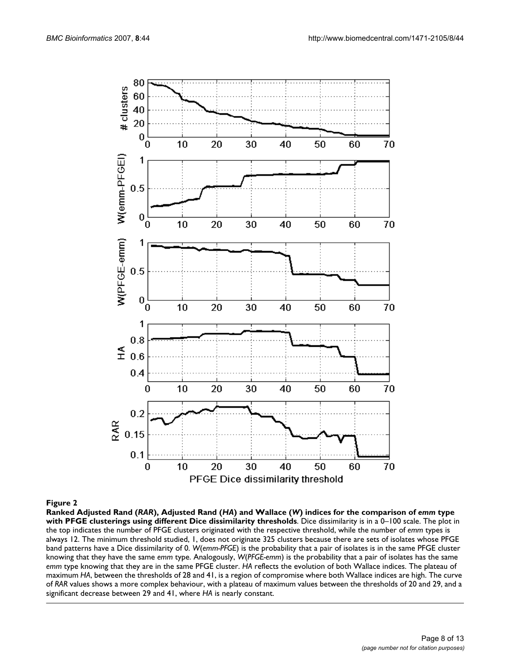

**Ranked Adjusted Rand (***RAR***), Adjusted Rand (***HA***) and Wallace (***W***) indices for the comparison of** *emm* **type with PFGE clusterings using different Dice dissimilarity thresholds**. Dice dissimilarity is in a 0–100 scale. The plot in the top indicates the number of PFGE clusters originated with the respective threshold, while the number of *emm* types is always 12. The minimum threshold studied, 1, does not originate 325 clusters because there are sets of isolates whose PFGE band patterns have a Dice dissimilarity of 0. *W*(*emm-PFGE*) is the probability that a pair of isolates is in the same PFGE cluster knowing that they have the same *emm* type. Analogously, *W*(*PFGE-emm*) is the probability that a pair of isolates has the same *emm* type knowing that they are in the same PFGE cluster. *HA* reflects the evolution of both Wallace indices. The plateau of maximum *HA*, between the thresholds of 28 and 41, is a region of compromise where both Wallace indices are high. The curve of *RAR* values shows a more complex behaviour, with a plateau of maximum values between the thresholds of 20 and 29, and a significant decrease between 29 and 41, where *HA* is nearly constant.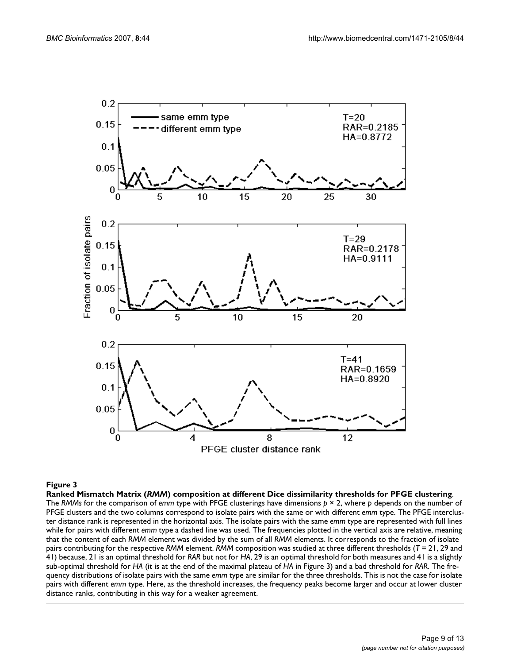

#### **Figure 3** Ranked Mismatch Matrix (*RMM*) composition at different Dice dissimilarity thresholds for PFGE clustering

**Ranked Mismatch Matrix (***RMM***) composition at different Dice dissimilarity thresholds for PFGE clustering**. The *RMMs* for the comparison of *emm* type with PFGE clusterings have dimensions *p* × 2, where *p* depends on the number of PFGE clusters and the two columns correspond to isolate pairs with the same or with different *emm* type. The PFGE intercluster distance rank is represented in the horizontal axis. The isolate pairs with the same *emm* type are represented with full lines while for pairs with different *emm* type a dashed line was used. The frequencies plotted in the vertical axis are relative, meaning that the content of each *RMM* element was divided by the sum of all *RMM* elements. It corresponds to the fraction of isolate pairs contributing for the respective *RMM* element. *RMM* composition was studied at three different thresholds (*T* = 21, 29 and 41) because, 21 is an optimal threshold for *RAR* but not for *HA*, 29 is an optimal threshold for both measures and 41 is a slightly sub-optimal threshold for *HA* (it is at the end of the maximal plateau of *HA* in Figure 3) and a bad threshold for *RAR*. The frequency distributions of isolate pairs with the same *emm* type are similar for the three thresholds. This is not the case for isolate pairs with different *emm* type. Here, as the threshold increases, the frequency peaks become larger and occur at lower cluster distance ranks, contributing in this way for a weaker agreement.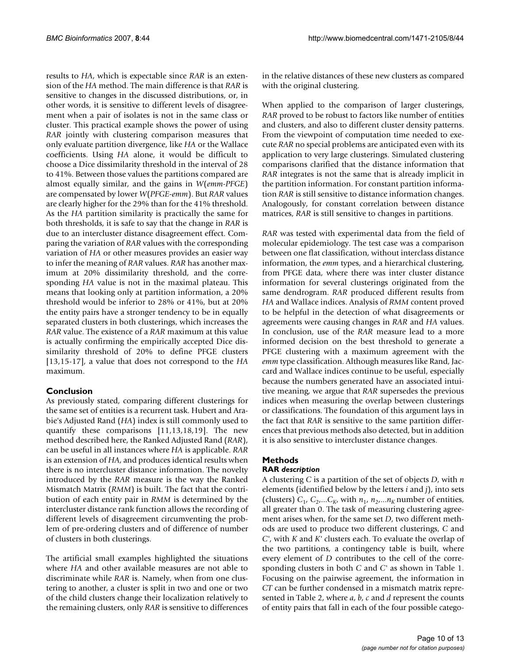results to *HA*, which is expectable since *RAR* is an extension of the *HA* method. The main difference is that *RAR* is sensitive to changes in the discussed distributions, or, in other words, it is sensitive to different levels of disagreement when a pair of isolates is not in the same class or cluster. This practical example shows the power of using *RAR* jointly with clustering comparison measures that only evaluate partition divergence, like *HA* or the Wallace coefficients. Using *HA* alone, it would be difficult to choose a Dice dissimilarity threshold in the interval of 28 to 41%. Between those values the partitions compared are almost equally similar, and the gains in *W*(*emm-PFGE*) are compensated by lower *W*(*PFGE-emm*). But *RAR* values are clearly higher for the 29% than for the 41% threshold. As the *HA* partition similarity is practically the same for both thresholds, it is safe to say that the change in *RAR* is due to an intercluster distance disagreement effect. Comparing the variation of *RAR* values with the corresponding variation of *HA* or other measures provides an easier way to infer the meaning of *RAR* values. *RAR* has another maximum at 20% dissimilarity threshold, and the corresponding *HA* value is not in the maximal plateau. This means that looking only at partition information, a 20% threshold would be inferior to 28% or 41%, but at 20% the entity pairs have a stronger tendency to be in equally separated clusters in both clusterings, which increases the *RAR* value. The existence of a *RAR* maximum at this value is actually confirming the empirically accepted Dice dissimilarity threshold of 20% to define PFGE clusters [13,15-17], a value that does not correspond to the *HA* maximum.

# **Conclusion**

As previously stated, comparing different clusterings for the same set of entities is a recurrent task. Hubert and Arabie's Adjusted Rand (*HA*) index is still commonly used to quantify these comparisons [11,13,18,19]. The new method described here, the Ranked Adjusted Rand (*RAR*), can be useful in all instances where *HA* is applicable. *RAR* is an extension of *HA*, and produces identical results when there is no intercluster distance information. The novelty introduced by the *RAR* measure is the way the Ranked Mismatch Matrix (*RMM*) is built. The fact that the contribution of each entity pair in *RMM* is determined by the intercluster distance rank function allows the recording of different levels of disagreement circumventing the problem of pre-ordering clusters and of difference of number of clusters in both clusterings.

The artificial small examples highlighted the situations where *HA* and other available measures are not able to discriminate while *RAR* is. Namely, when from one clustering to another, a cluster is split in two and one or two of the child clusters change their localization relatively to the remaining clusters, only *RAR* is sensitive to differences

in the relative distances of these new clusters as compared with the original clustering.

When applied to the comparison of larger clusterings, *RAR* proved to be robust to factors like number of entities and clusters, and also to different cluster density patterns. From the viewpoint of computation time needed to execute *RAR* no special problems are anticipated even with its application to very large clusterings. Simulated clustering comparisons clarified that the distance information that *RAR* integrates is not the same that is already implicit in the partition information. For constant partition information *RAR* is still sensitive to distance information changes. Analogously, for constant correlation between distance matrices, *RAR* is still sensitive to changes in partitions.

*RAR* was tested with experimental data from the field of molecular epidemiology. The test case was a comparison between one flat classification, without interclass distance information, the *emm* types, and a hierarchical clustering, from PFGE data, where there was inter cluster distance information for several clusterings originated from the same dendrogram. *RAR* produced different results from *HA* and Wallace indices. Analysis of *RMM* content proved to be helpful in the detection of what disagreements or agreements were causing changes in *RAR* and *HA* values. In conclusion, use of the *RAR* measure lead to a more informed decision on the best threshold to generate a PFGE clustering with a maximum agreement with the *emm* type classification. Although measures like Rand, Jaccard and Wallace indices continue to be useful, especially because the numbers generated have an associated intuitive meaning, we argue that *RAR* supersedes the previous indices when measuring the overlap between clusterings or classifications. The foundation of this argument lays in the fact that *RAR* is sensitive to the same partition differences that previous methods also detected, but in addition it is also sensitive to intercluster distance changes.

# **Methods**

# **RAR** *description*

A clustering *C* is a partition of the set of objects *D*, with *n* elements (identified below by the letters *i* and *j*), into sets (clusters)  $C_1$ ,  $C_2$ ,... $C_K$ , with  $n_1$ ,  $n_2$ ,..., $n_K$  number of entities, all greater than 0. The task of measuring clustering agreement arises when, for the same set *D*, two different methods are used to produce two different clusterings, *C* and *C'*, with *K* and *K'* clusters each. To evaluate the overlap of the two partitions, a contingency table is built, where every element of *D* contributes to the cell of the corresponding clusters in both *C* and *C'* as shown in Table 1. Focusing on the pairwise agreement, the information in *CT* can be further condensed in a mismatch matrix represented in Table 2, where *a*, *b*, *c* and *d* represent the counts of entity pairs that fall in each of the four possible catego-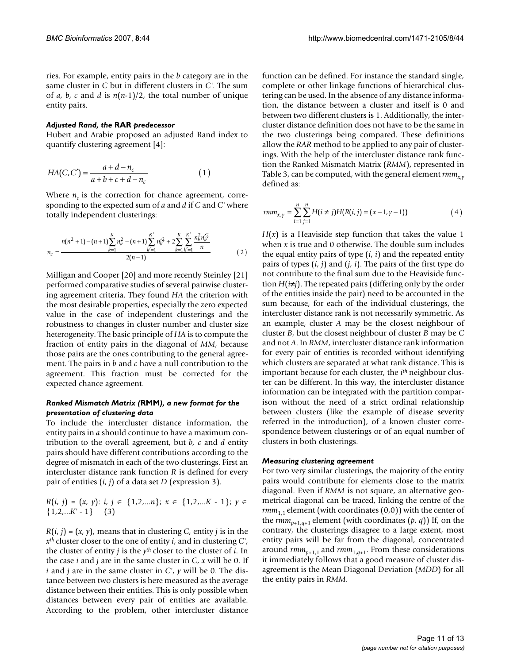ries. For example, entity pairs in the *b* category are in the same cluster in *C* but in different clusters in *C'*. The sum of *a*, *b*, *c* and *d* is  $n(n-1)/2$ , the total number of unique entity pairs.

#### *Adjusted Rand, the* **RAR** *predecessor*

Hubert and Arabie proposed an adjusted Rand index to quantify clustering agreement [4]:

$$
HA(C, C') = \frac{a + d - n_c}{a + b + c + d - n_c}
$$
 (1)

Where  $n_c$  is the correction for chance agreement, corresponding to the expected sum of *a* and *d* if *C* and *C'* where totally independent clusterings:

$$
n_c = \frac{n(n^2+1)-(n+1)\sum_{k=1}^{K}n_k^2-(n+1)\sum_{k'=1}^{K'}n_{k'}^2+2\sum_{k=1}^{K}\sum_{k'=1}^{K'}\frac{n_k^2n_{k'}^2}{n}}{2(n-1)}\tag{2}
$$

Milligan and Cooper [20] and more recently Steinley [21] performed comparative studies of several pairwise clustering agreement criteria. They found *HA* the criterion with the most desirable properties, especially the zero expected value in the case of independent clusterings and the robustness to changes in cluster number and cluster size heterogeneity. The basic principle of *HA* is to compute the fraction of entity pairs in the diagonal of *MM*, because those pairs are the ones contributing to the general agreement. The pairs in *b* and *c* have a null contribution to the agreement. This fraction must be corrected for the expected chance agreement.

#### *Ranked Mismatch Matrix (***RMM***), a new format for the presentation of clustering data*

To include the intercluster distance information, the entity pairs in *a* should continue to have a maximum contribution to the overall agreement, but *b, c* and *d* entity pairs should have different contributions according to the degree of mismatch in each of the two clusterings. First an intercluster distance rank function *R* is defined for every pair of entities (*i*, *j*) of a data set *D* (expression 3).

$$
R(i, j) = (x, \gamma): i, j \in \{1, 2, \ldots n\}; x \in \{1, 2, \ldots K - 1\}; \gamma \in \{1, 2, \ldots K - 1\} \quad (3)
$$

 $R(i, j) = (x, y)$ , means that in clustering *C*, entity *j* is in the *xth* cluster closer to the one of entity *i*, and in clustering *C'*, the cluster of entity *j* is the *yth* closer to the cluster of *i*. In the case *i* and *j* are in the same cluster in *C*, *x* will be 0. If *i* and *j* are in the same cluster in *C'*, *y* will be 0. The distance between two clusters is here measured as the average distance between their entities. This is only possible when distances between every pair of entities are available. According to the problem, other intercluster distance function can be defined. For instance the standard single, complete or other linkage functions of hierarchical clustering can be used. In the absence of any distance information, the distance between a cluster and itself is 0 and between two different clusters is 1. Additionally, the intercluster distance definition does not have to be the same in the two clusterings being compared. These definitions allow the *RAR* method to be applied to any pair of clusterings. With the help of the intercluster distance rank function the Ranked Mismatch Matrix (*RMM*), represented in Table 3, can be computed, with the general element  $rmm_{y}$ defined as:

$$
rmm_{x,y} = \sum_{i=1}^{n} \sum_{j=1}^{n} H(i \neq j)H(R(i,j) = (x-1,y-1))
$$
\n(4)

 $H(x)$  is a Heaviside step function that takes the value 1 when *x* is true and 0 otherwise. The double sum includes the equal entity pairs of type (*i*, *i*) and the repeated entity pairs of types (*i*, *j*) and (*j*, *i*). The pairs of the first type do not contribute to the final sum due to the Heaviside function  $H(i\neq j)$ . The repeated pairs (differing only by the order of the entities inside the pair) need to be accounted in the sum because, for each of the individual clusterings, the intercluster distance rank is not necessarily symmetric. As an example, cluster *A* may be the closest neighbour of cluster *B*, but the closest neighbour of cluster *B* may be *C* and not *A*. In *RMM*, intercluster distance rank information for every pair of entities is recorded without identifying which clusters are separated at what rank distance. This is important because for each cluster, the *ith* neighbour cluster can be different. In this way, the intercluster distance information can be integrated with the partition comparison without the need of a strict ordinal relationship between clusters (like the example of disease severity referred in the introduction), of a known cluster correspondence between clusterings or of an equal number of clusters in both clusterings.

#### *Measuring clustering agreement*

For two very similar clusterings, the majority of the entity pairs would contribute for elements close to the matrix diagonal. Even if *RMM* is not square, an alternative geometrical diagonal can be traced, linking the centre of the  $rmm_{1,1}$  element (with coordinates  $(0,0)$ ) with the center of the  $rmm_{p+1,q+1}$  element (with coordinates  $(p, q)$ ) If, on the contrary, the clusterings disagree to a large extent, most entity pairs will be far from the diagonal, concentrated around  $rmm_{p+1,1}$  and  $rmm_{1,q+1}$ . From these considerations it immediately follows that a good measure of cluster disagreement is the Mean Diagonal Deviation (*MDD*) for all the entity pairs in *RMM*.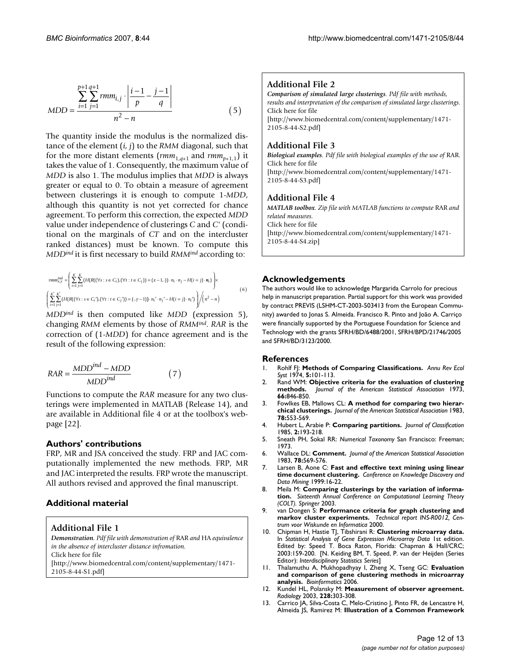$$
MDD = \frac{\sum_{i=1}^{p+1} \sum_{j=1}^{q+1} rmm_{i,j} \cdot \left| \frac{i-1}{p} - \frac{j-1}{q} \right|}{n^2 - n}
$$
(5)

The quantity inside the modulus is the normalized distance of the element (*i*, *j*) to the *RMM* diagonal, such that for the more distant elements ( $rmm_{1,d+1}$  and  $rmm_{p+1,1}$ ) it takes the value of 1. Consequently, the maximum value of *MDD* is also 1. The modulus implies that *MDD* is always greater or equal to 0. To obtain a measure of agreement between clusterings it is enough to compute 1-*MDD*, although this quantity is not yet corrected for chance agreement. To perform this correction, the expected *MDD* value under independence of clusterings *C* and *C'* (conditional on the marginals of *CT* and on the intercluster ranked distances) must be known. To compute this *MDDind* it is first necessary to build *RMMind* according to:

$$
rmm_{x,y}^{ind} = \left( \sum_{i=1}^{K} \sum_{j=1}^{K} (H(R((\forall s:s \in C_{i}),(\forall t:t \in C_{j})) = (x-1,\cdot)) \cdot n_{i} \cdot n_{j} - H(i=j) \cdot n_{i}) \right) \times
$$
  

$$
\left( \sum_{i=1}^{K'} \sum_{j=1}^{K'} (H(R((\forall s:s \in C_{i}'),(\forall t:t \in C_{j}')) = (\cdot,\gamma-1)) \cdot n_{i} \cdot n_{j} - H(i=j) \cdot n_{i}') \right) / (n^{2} - n)
$$
  
(6)

*MDDind* is then computed like *MDD* (expression 5), changing *RMM* elements by those of *RMMind*. *RAR* is the correction of (1-*MDD*) for chance agreement and is the result of the following expression:

$$
RAR = \frac{MDD^{ind} - MDD}{MDD^{ind}} \tag{7}
$$

Functions to compute the *RAR* measure for any two clusterings were implemented in MATLAB (Release 14), and are available in Additional file 4 or at the toolbox's webpage [22].

#### **Authors' contributions**

FRP, MR and JSA conceived the study. FRP and JAC computationally implemented the new methods. FRP, MR and JAC interpreted the results. FRP wrote the manuscript. All authors revised and approved the final manuscript.

# **Additional material**

**Additional File 1**

*Demonstration. Pdf file with demonstration of* RAR *and* HA *equivalence in the absence of intercluster distance infromation.* Click here for file [\[http://www.biomedcentral.com/content/supplementary/1471-](http://www.biomedcentral.com/content/supplementary/1471-2105-8-44-S1.pdf) 2105-8-44-S1.pdf]

#### **Additional File 2**

*Comparison of simulated large clusterings. Pdf file with methods, results and interpretation of the comparison of simulated large clusterings.* Click here for file [\[http://www.biomedcentral.com/content/supplementary/1471-](http://www.biomedcentral.com/content/supplementary/1471-2105-8-44-S2.pdf) 2105-8-44-S2.pdf]

#### **Additional File 3**

*Biological examples. Pdf file with biological examples of the use of* RAR*.* Click here for file

[\[http://www.biomedcentral.com/content/supplementary/1471-](http://www.biomedcentral.com/content/supplementary/1471-2105-8-44-S3.pdf) 2105-8-44-S3.pdf]

#### **Additional File 4**

*MATLAB toolbox. Zip file with MATLAB functions to compute* RAR *and related measures.* Click here for file [\[http://www.biomedcentral.com/content/supplementary/1471-](http://www.biomedcentral.com/content/supplementary/1471-2105-8-44-S4.zip) 2105-8-44-S4.zip]

#### **Acknowledgements**

The authors would like to acknowledge Margarida Carrolo for precious help in manuscript preparation. Partial support for this work was provided by contract PREVIS (LSHM-CT-2003-503413 from the European Community) awarded to Jonas S. Almeida. Francisco R. Pinto and João A. Carriço were financially supported by the Portuguese Foundation for Science and Technology with the grants SFRH/BD/6488/2001, SFRH/BPD/21746/2005 and SFRH/BD/3123/2000.

#### **References**

- 1. Rohlf FJ: **Methods of Comparing Classifications.** *Annu Rev Ecol Syst* 1974, **5:**101-113.
- 2. Rand WM: **Objective criteria for the evaluation of clustering methods.** *Journal of the American Statistical Association* 1973, **66:**846-850.
- 3. Fowlkes EB, Mallows CL: **A method for comparing two hierarchical clusterings.** *Journal of the American Statistical Association* 1983, **78:**553-569.
- 4. Hubert L, Arabie P: **Comparing partitions.** *Journal of Classification* 1985, **2:**193-218.
- 5. Sneath PH, Sokal RR: *Numerical Taxonomy* San Francisco: Freeman; 1973.
- 6. Wallace DL: **Comment.** *Journal of the American Statistical Association* 1983, **78:**569-576.
- 7. Larsen B, Aone C: **Fast and effective text mining using linear time document clustering.** *Conference on Knowledge Discovery and Data Mining* 1999:16-22.
- 8. Meila M: **Comparing clusterings by the variation of information.** *Sixteenth Annual Conference on Computational Learning Theory (COLT). Springer* 2003.
- 9. van Dongen S: **Performance criteria for graph clustering and markov cluster experiments.** *Technical report INS-R0012, Centrum voor Wiskunde en Informatica* 2000.
- 10. Chipman H, Hastie TJ, Tibshirani R: **Clustering microarray data.** In *Statistical Analysis of Gene Expression Microarray Data* 1st edition. Edited by: Speed T. Boca Raton, Florida: Chapman & Hall/CRC; 2003:159-200. [N. Keiding BM, T. Speed, P. van der Heijden (Series Editor): *Interdisciplinary Statistics Series*]
- 11. Thalamuthu A, Mukhopadhyay I, Zheng X, Tseng GC: **[Evaluation](http://www.ncbi.nlm.nih.gov/entrez/query.fcgi?cmd=Retrieve&db=PubMed&dopt=Abstract&list_uids=16882653) [and comparison of gene clustering methods in microarray](http://www.ncbi.nlm.nih.gov/entrez/query.fcgi?cmd=Retrieve&db=PubMed&dopt=Abstract&list_uids=16882653) [analysis.](http://www.ncbi.nlm.nih.gov/entrez/query.fcgi?cmd=Retrieve&db=PubMed&dopt=Abstract&list_uids=16882653)** *Bioinformatics* 2006.
- 12. Kundel HL, Polansky M: **[Measurement of observer agreement.](http://www.ncbi.nlm.nih.gov/entrez/query.fcgi?cmd=Retrieve&db=PubMed&dopt=Abstract&list_uids=12819342)** *Radiology* 2003, **228:**303-308.
- 13. Carrico JA, Silva-Costa C, Melo-Cristino J, Pinto FR, de Lencastre H, Almeida JS, Ramirez M: **[Illustration of a Common Framework](http://www.ncbi.nlm.nih.gov/entrez/query.fcgi?cmd=Retrieve&db=PubMed&dopt=Abstract&list_uids=16825375)**